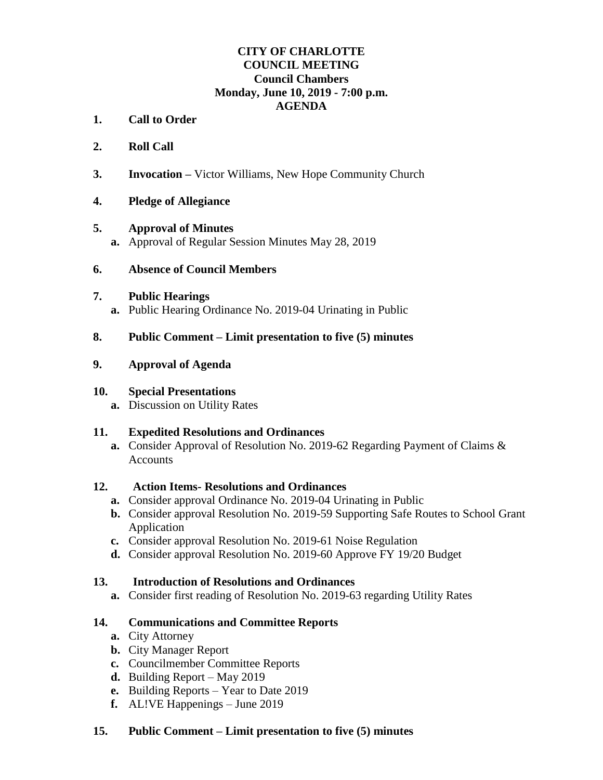# **CITY OF CHARLOTTE COUNCIL MEETING Council Chambers Monday, June 10, 2019 - 7:00 p.m. AGENDA**

- **1. Call to Order**
- **2. Roll Call**
- **3. Invocation –** Victor Williams, New Hope Community Church

## **4. Pledge of Allegiance**

#### **5. Approval of Minutes**

**a.** Approval of Regular Session Minutes May 28, 2019

## **6. Absence of Council Members**

#### **7. Public Hearings**

**a.** Public Hearing Ordinance No. 2019-04 Urinating in Public

## **8. Public Comment – Limit presentation to five (5) minutes**

## **9. Approval of Agenda**

#### **10. Special Presentations**

**a.** Discussion on Utility Rates

# **11. Expedited Resolutions and Ordinances**

**a.** Consider Approval of Resolution No. 2019-62 Regarding Payment of Claims & **Accounts** 

#### **12. Action Items- Resolutions and Ordinances**

- **a.** Consider approval Ordinance No. 2019-04 Urinating in Public
- **b.** Consider approval Resolution No. 2019-59 Supporting Safe Routes to School Grant Application
- **c.** Consider approval Resolution No. 2019-61 Noise Regulation
- **d.** Consider approval Resolution No. 2019-60 Approve FY 19/20 Budget

# **13. Introduction of Resolutions and Ordinances**

**a.** Consider first reading of Resolution No. 2019-63 regarding Utility Rates

# **14. Communications and Committee Reports**

- **a.** City Attorney
- **b.** City Manager Report
- **c.** Councilmember Committee Reports
- **d.** Building Report May 2019
- **e.** Building Reports Year to Date 2019
- **f.** AL!VE Happenings June 2019

# **15. Public Comment – Limit presentation to five (5) minutes**